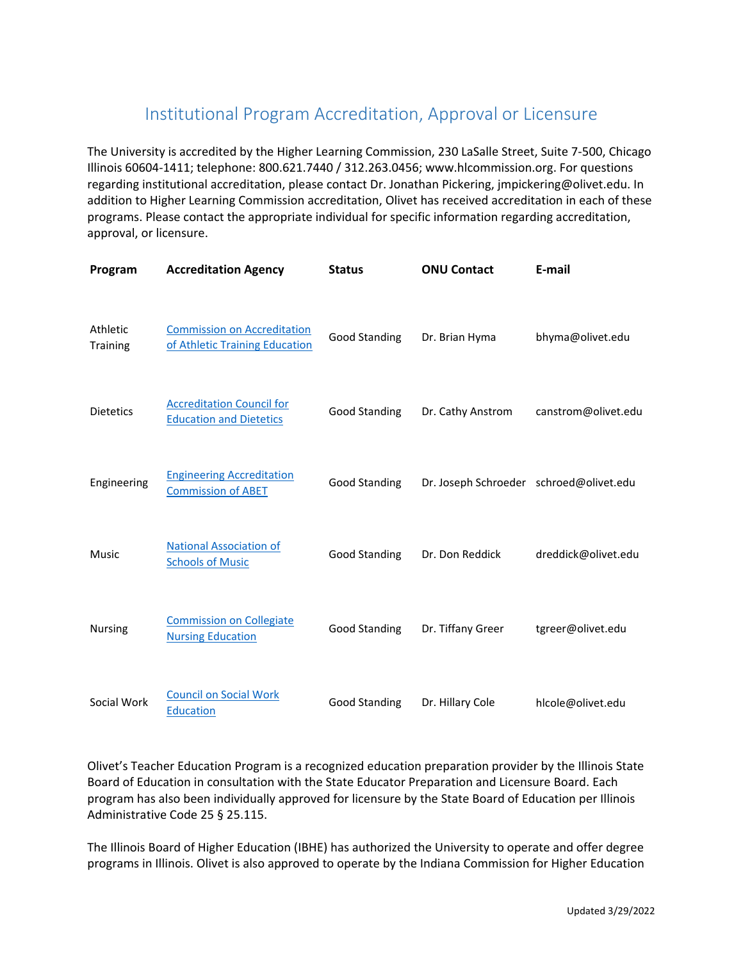## Institutional Program Accreditation, Approval or Licensure

The University is accredited by the Higher Learning Commission, 230 LaSalle Street, Suite 7‐500, Chicago Illinois 60604‐1411; telephone: 800.621.7440 / 312.263.0456; www.hlcommission.org. For questions regarding institutional accreditation, please contact Dr. Jonathan Pickering, jmpickering@olivet.edu. In addition to Higher Learning Commission accreditation, Olivet has received accreditation in each of these programs. Please contact the appropriate individual for specific information regarding accreditation, approval, or licensure.

| Program                     | <b>Accreditation Agency</b>                                          | <b>Status</b>        | <b>ONU Contact</b>                      | E-mail              |
|-----------------------------|----------------------------------------------------------------------|----------------------|-----------------------------------------|---------------------|
| Athletic<br><b>Training</b> | <b>Commission on Accreditation</b><br>of Athletic Training Education | <b>Good Standing</b> | Dr. Brian Hyma                          | bhyma@olivet.edu    |
| <b>Dietetics</b>            | <b>Accreditation Council for</b><br><b>Education and Dietetics</b>   | <b>Good Standing</b> | Dr. Cathy Anstrom                       | canstrom@olivet.edu |
| Engineering                 | <b>Engineering Accreditation</b><br><b>Commission of ABET</b>        | <b>Good Standing</b> | Dr. Joseph Schroeder schroed@olivet.edu |                     |
| <b>Music</b>                | <b>National Association of</b><br><b>Schools of Music</b>            | <b>Good Standing</b> | Dr. Don Reddick                         | dreddick@olivet.edu |
| Nursing                     | <b>Commission on Collegiate</b><br><b>Nursing Education</b>          | <b>Good Standing</b> | Dr. Tiffany Greer                       | tgreer@olivet.edu   |
| Social Work                 | <b>Council on Social Work</b><br>Education                           | <b>Good Standing</b> | Dr. Hillary Cole                        | hlcole@olivet.edu   |

Olivet's Teacher Education Program is a recognized education preparation provider by the Illinois State Board of Education in consultation with the State Educator Preparation and Licensure Board. Each program has also been individually approved for licensure by the State Board of Education per Illinois Administrative Code 25 § 25.115.

The Illinois Board of Higher Education (IBHE) has authorized the University to operate and offer degree programs in Illinois. Olivet is also approved to operate by the Indiana Commission for Higher Education